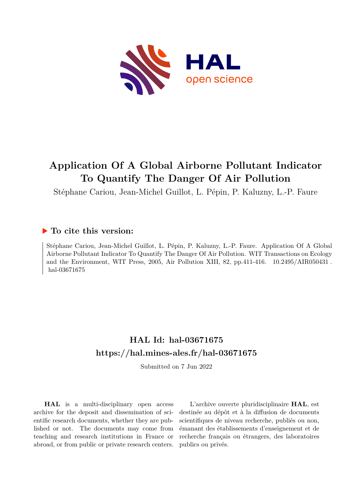

# **Application Of A Global Airborne Pollutant Indicator To Quantify The Danger Of Air Pollution**

Stéphane Cariou, Jean-Michel Guillot, L. Pépin, P. Kaluzny, L.-P. Faure

### **To cite this version:**

Stéphane Cariou, Jean-Michel Guillot, L. Pépin, P. Kaluzny, L.-P. Faure. Application Of A Global Airborne Pollutant Indicator To Quantify The Danger Of Air Pollution. WIT Transactions on Ecology and the Environment, WIT Press, 2005, Air Pollution XIII, 82, pp.411-416.  $10.2495/AR050431$ . hal-03671675

# **HAL Id: hal-03671675 <https://hal.mines-ales.fr/hal-03671675>**

Submitted on 7 Jun 2022

**HAL** is a multi-disciplinary open access archive for the deposit and dissemination of scientific research documents, whether they are published or not. The documents may come from teaching and research institutions in France or abroad, or from public or private research centers.

L'archive ouverte pluridisciplinaire **HAL**, est destinée au dépôt et à la diffusion de documents scientifiques de niveau recherche, publiés ou non, émanant des établissements d'enseignement et de recherche français ou étrangers, des laboratoires publics ou privés.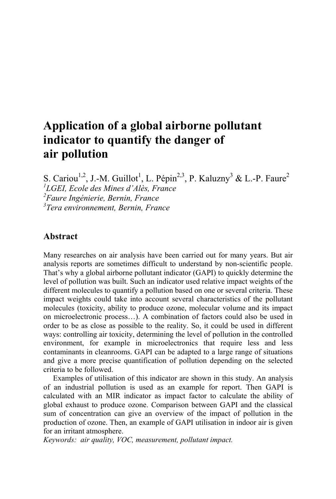## **Application of a global airborne pollutant indicator to quantify the danger of air pollution**

S. Cariou<sup>1,2</sup>, J.-M. Guillot<sup>1</sup>, L. Pépin<sup>2,3</sup>, P. Kaluzny<sup>3</sup> & L.-P. Faure<sup>2</sup> *LGEI, Ecole des Mines d'Alès, France Faure Ingénierie, Bernin, France Tera environnement, Bernin, France*

#### **Abstract**

Many researches on air analysis have been carried out for many years. But air analysis reports are sometimes difficult to understand by non-scientific people. That's why a global airborne pollutant indicator (GAPI) to quickly determine the level of pollution was built. Such an indicator used relative impact weights of the different molecules to quantify a pollution based on one or several criteria. These impact weights could take into account several characteristics of the pollutant molecules (toxicity, ability to produce ozone, molecular volume and its impact on microelectronic process…). A combination of factors could also be used in order to be as close as possible to the reality. So, it could be used in different ways: controlling air toxicity, determining the level of pollution in the controlled environment, for example in microelectronics that require less and less contaminants in cleanrooms. GAPI can be adapted to a large range of situations and give a more precise quantification of pollution depending on the selected criteria to be followed.

 Examples of utilisation of this indicator are shown in this study. An analysis of an industrial pollution is used as an example for report. Then GAPI is calculated with an MIR indicator as impact factor to calculate the ability of global exhaust to produce ozone. Comparison between GAPI and the classical sum of concentration can give an overview of the impact of pollution in the production of ozone. Then, an example of GAPI utilisation in indoor air is given for an irritant atmosphere.

*Keywords: air quality, VOC, measurement, pollutant impact.*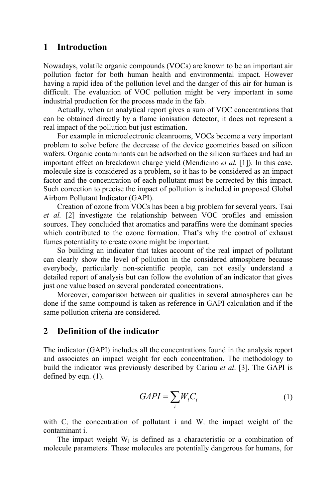#### **1 Introduction**

Nowadays, volatile organic compounds (VOCs) are known to be an important air pollution factor for both human health and environmental impact. However having a rapid idea of the pollution level and the danger of this air for human is difficult. The evaluation of VOC pollution might be very important in some industrial production for the process made in the fab.

Actually, when an analytical report gives a sum of VOC concentrations that can be obtained directly by a flame ionisation detector, it does not represent a real impact of the pollution but just estimation.

For example in microelectronic cleanrooms, VOCs become a very important problem to solve before the decrease of the device geometries based on silicon wafers. Organic contaminants can be adsorbed on the silicon surfaces and had an important effect on breakdown charge yield (Mendicino *et al.* [1]). In this case, molecule size is considered as a problem, so it has to be considered as an impact factor and the concentration of each pollutant must be corrected by this impact. Such correction to precise the impact of pollution is included in proposed Global Airborn Pollutant Indicator (GAPI).

Creation of ozone from VOCs has been a big problem for several years. Tsai *et al.* [2] investigate the relationship between VOC profiles and emission sources. They concluded that aromatics and paraffins were the dominant species which contributed to the ozone formation. That's why the control of exhaust fumes potentiality to create ozone might be important.

So building an indicator that takes account of the real impact of pollutant can clearly show the level of pollution in the considered atmosphere because everybody, particularly non-scientific people, can not easily understand a detailed report of analysis but can follow the evolution of an indicator that gives just one value based on several ponderated concentrations.

Moreover, comparison between air qualities in several atmospheres can be done if the same compound is taken as reference in GAPI calculation and if the same pollution criteria are considered.

#### **2 Definition of the indicator**

The indicator (GAPI) includes all the concentrations found in the analysis report and associates an impact weight for each concentration. The methodology to build the indicator was previously described by Cariou *et al*. [3]. The GAPI is defined by eqn. (1).

$$
GAPI = \sum_{i} W_{i} C_{i} \tag{1}
$$

with  $C_i$  the concentration of pollutant i and  $W_i$  the impact weight of the contaminant i.

The impact weight  $W_i$  is defined as a characteristic or a combination of molecule parameters. These molecules are potentially dangerous for humans, for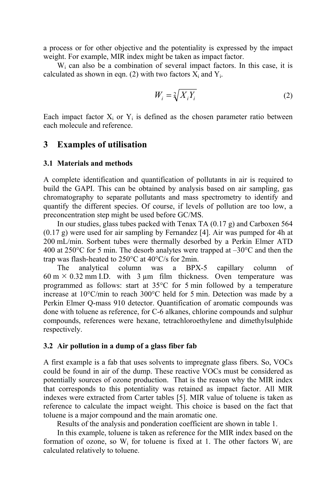a process or for other objective and the potentiality is expressed by the impact weight. For example, MIR index might be taken as impact factor.

W<sup>i</sup> can also be a combination of several impact factors. In this case, it is calculated as shown in eqn. (2) with two factors  $X_i$  and  $Y_i$ .

$$
W_i = \sqrt[2]{X_i Y_i} \tag{2}
$$

Each impact factor  $X_i$  or  $Y_i$  is defined as the chosen parameter ratio between each molecule and reference.

#### **3 Examples of utilisation**

#### **3.1 Materials and methods**

A complete identification and quantification of pollutants in air is required to build the GAPI. This can be obtained by analysis based on air sampling, gas chromatography to separate pollutants and mass spectrometry to identify and quantify the different species. Of course, if levels of pollution are too low, a preconcentration step might be used before GC/MS.

In our studies, glass tubes packed with Tenax TA (0.17 g) and Carboxen 564 (0.17 g) were used for air sampling by Fernandez [4]. Air was pumped for 4h at 200 mL/min. Sorbent tubes were thermally desorbed by a Perkin Elmer ATD 400 at  $250^{\circ}$ C for 5 min. The desorb analytes were trapped at  $-30^{\circ}$ C and then the trap was flash-heated to 250°C at 40°C/s for 2min.

The analytical column was a BPX-5 capillary column of  $60 \text{ m} \times 0.32 \text{ mm}$  I.D. with  $3 \mu \text{m}$  film thickness. Oven temperature was programmed as follows: start at 35°C for 5 min followed by a temperature increase at 10°C/min to reach 300°C held for 5 min. Detection was made by a Perkin Elmer Q-mass 910 detector. Quantification of aromatic compounds was done with toluene as reference, for C-6 alkanes, chlorine compounds and sulphur compounds, references were hexane, tetrachloroethylene and dimethylsulphide respectively.

#### **3.2 Air pollution in a dump of a glass fiber fab**

A first example is a fab that uses solvents to impregnate glass fibers. So, VOCs could be found in air of the dump. These reactive VOCs must be considered as potentially sources of ozone production. That is the reason why the MIR index that corresponds to this potentiality was retained as impact factor. All MIR indexes were extracted from Carter tables [5]. MIR value of toluene is taken as reference to calculate the impact weight. This choice is based on the fact that toluene is a major compound and the main aromatic one.

Results of the analysis and ponderation coefficient are shown in table 1.

In this example, toluene is taken as reference for the MIR index based on the formation of ozone, so  $W_i$  for toluene is fixed at 1. The other factors  $W_i$  are calculated relatively to toluene.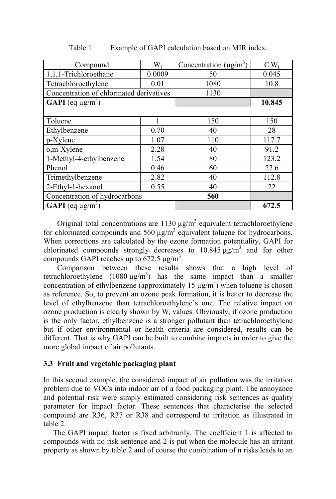| Compound                                 | $W_i$  | Concentration $(\mu g/m^3)$ | $C_iW_i$ |
|------------------------------------------|--------|-----------------------------|----------|
| 1,1,1-Trichloroethane                    | 0.0009 | 50                          | 0.045    |
| Tetrachloroethylene                      | 0.01   | 1080                        | 10.8     |
| Concentration of chlorinated derivatives |        | 1130                        |          |
| <b>GAPI</b> (eq $\mu$ g/m <sup>3</sup> ) |        |                             | 10.845   |
|                                          |        |                             |          |
| Toluene                                  |        | 150                         | 150      |
| Ethylbenzene                             | 0.70   | 40                          | 28       |
| p-Xylene                                 | 1.07   | 110                         | 117.7    |
| o,m-Xylene                               | 2.28   | 40                          | 91.2     |
| 1-Methyl-4-ethylbenzene                  | 1.54   | 80                          | 123.2    |
| Phenol                                   | 0.46   | 60                          | 27.6     |
| Trimethylbenzene                         | 2.82   | 40                          | 112.8    |
| 2-Ethyl-1-hexanol                        | 0.55   | 40                          | 22       |
| Concentration of hydrocarbons            |        | 560                         |          |
| <b>GAPI</b> (eq $\mu$ g/m <sup>3</sup> ) |        |                             | 672.5    |

Table 1: Example of GAPI calculation based on MIR index.

Original total concentrations are  $1130 \mu g/m^3$  equivalent tetrachloroethylene for chlorinated compounds and 560  $\mu$ g/m<sup>3</sup> equivalent toluene for hydrocarbons. When corrections are calculated by the ozone formation potentiality, GAPI for chlorinated compounds strongly decreases to  $10.845 \mu g/m<sup>3</sup>$  and for other compounds GAPI reaches up to 672.5  $\mu$ g/m<sup>3</sup>.

Comparison between these results shows that a high level of tetrachloroethylene  $(1080 \mu g/m^3)$  has the same impact than a smaller concentration of ethylbenzene (approximately 15  $\mu$ g/m<sup>3</sup>) when toluene is chosen as reference. So, to prevent an ozone peak formation, it is better to decrease the level of ethylbenzene than tetrachloroethylene's one. The relative impact on ozone production is clearly shown by  $W_i$  values. Obviously, if ozone production is the only factor, ethylbenzene is a stronger pollutant than tetrachloroethylene but if other environmental or health criteria are considered, results can be different. That is why GAPI can be built to combine impacts in order to give the more global impact of air pollutants.

#### **3.3 Fruit and vegetable packaging plant**

In this second example, the considered impact of air pollution was the irritation problem due to VOCs into indoor air of a food packaging plant. The annoyance and potential risk were simply estimated considering risk sentences as quality parameter for impact factor. These sentences that characterise the selected compound are R36, R37 or R38 and correspond to irritation as illustrated in table 2.

 The GAPI impact factor is fixed arbitrarily. The coefficient 1 is affected to compounds with no risk sentence and 2 is put when the molecule has an irritant property as shown by table 2 and of course the combination of n risks leads to an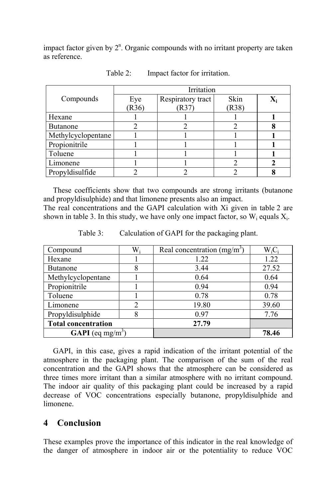impact factor given by  $2<sup>n</sup>$ . Organic compounds with no irritant property are taken as reference.

|                    | Irritation |                   |       |  |  |
|--------------------|------------|-------------------|-------|--|--|
| Compounds          | Eye        | Respiratory tract | Skin  |  |  |
|                    | (R36)      | (R37)             | (R38) |  |  |
| Hexane             |            |                   |       |  |  |
| <b>Butanone</b>    |            |                   |       |  |  |
| Methylcyclopentane |            |                   |       |  |  |
| Propionitrile      |            |                   |       |  |  |
| Toluene            |            |                   |       |  |  |
| Limonene           |            |                   |       |  |  |
| Propyldisulfide    |            |                   |       |  |  |

Table 2: Impact factor for irritation.

 These coefficients show that two compounds are strong irritants (butanone and propyldisulphide) and that limonene presents also an impact.

The real concentrations and the GAPI calculation with Xi given in table 2 are shown in table 3. In this study, we have only one impact factor, so  $W_i$  equals  $X_i$ .

| Compound                            | $W_i$ | Real concentration $(mg/m3)$ | $W_iC_i$ |
|-------------------------------------|-------|------------------------------|----------|
| Hexane                              |       | 1.22                         | 1.22     |
| <b>Butanone</b>                     | 8     | 3.44                         | 27.52    |
| Methylcyclopentane                  |       | 0.64                         | 0.64     |
| Propionitrile                       |       | 0.94                         | 0.94     |
| Toluene                             |       | 0.78                         | 0.78     |
| Limonene                            |       | 19.80                        | 39.60    |
| Propyldisulphide                    |       | 0.97                         | 7.76     |
| <b>Total concentration</b>          |       | 27.79                        |          |
| <b>GAPI</b> (eq mg/m <sup>3</sup> ) |       |                              | 78.46    |

Table 3: Calculation of GAPI for the packaging plant.

 GAPI, in this case, gives a rapid indication of the irritant potential of the atmosphere in the packaging plant. The comparison of the sum of the real concentration and the GAPI shows that the atmosphere can be considered as three times more irritant than a similar atmosphere with no irritant compound. The indoor air quality of this packaging plant could be increased by a rapid decrease of VOC concentrations especially butanone, propyldisulphide and limonene.

### **4 Conclusion**

These examples prove the importance of this indicator in the real knowledge of the danger of atmosphere in indoor air or the potentiality to reduce VOC